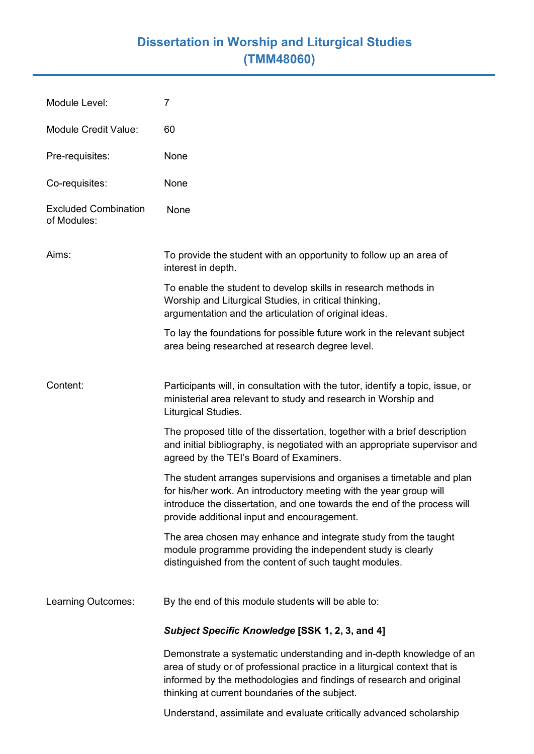## **Dissertation in Worship and Liturgical Studies (TMM48060)**

| Module Level:                              | 7                                                                                                                                                                                                                                                                         |
|--------------------------------------------|---------------------------------------------------------------------------------------------------------------------------------------------------------------------------------------------------------------------------------------------------------------------------|
| <b>Module Credit Value:</b>                | 60                                                                                                                                                                                                                                                                        |
| Pre-requisites:                            | None                                                                                                                                                                                                                                                                      |
| Co-requisites:                             | None                                                                                                                                                                                                                                                                      |
| <b>Excluded Combination</b><br>of Modules: | None                                                                                                                                                                                                                                                                      |
| Aims:                                      | To provide the student with an opportunity to follow up an area of<br>interest in depth.                                                                                                                                                                                  |
|                                            | To enable the student to develop skills in research methods in<br>Worship and Liturgical Studies, in critical thinking,<br>argumentation and the articulation of original ideas.                                                                                          |
|                                            | To lay the foundations for possible future work in the relevant subject<br>area being researched at research degree level.                                                                                                                                                |
| Content:                                   | Participants will, in consultation with the tutor, identify a topic, issue, or<br>ministerial area relevant to study and research in Worship and<br>Liturgical Studies.                                                                                                   |
|                                            | The proposed title of the dissertation, together with a brief description<br>and initial bibliography, is negotiated with an appropriate supervisor and<br>agreed by the TEI's Board of Examiners.                                                                        |
|                                            | The student arranges supervisions and organises a timetable and plan<br>for his/her work. An introductory meeting with the year group will<br>introduce the dissertation, and one towards the end of the process will<br>provide additional input and encouragement.      |
|                                            | The area chosen may enhance and integrate study from the taught<br>module programme providing the independent study is clearly<br>distinguished from the content of such taught modules.                                                                                  |
| Learning Outcomes:                         | By the end of this module students will be able to:                                                                                                                                                                                                                       |
|                                            | Subject Specific Knowledge [SSK 1, 2, 3, and 4]                                                                                                                                                                                                                           |
|                                            | Demonstrate a systematic understanding and in-depth knowledge of an<br>area of study or of professional practice in a liturgical context that is<br>informed by the methodologies and findings of research and original<br>thinking at current boundaries of the subject. |
|                                            | Understand, assimilate and evaluate critically advanced scholarship                                                                                                                                                                                                       |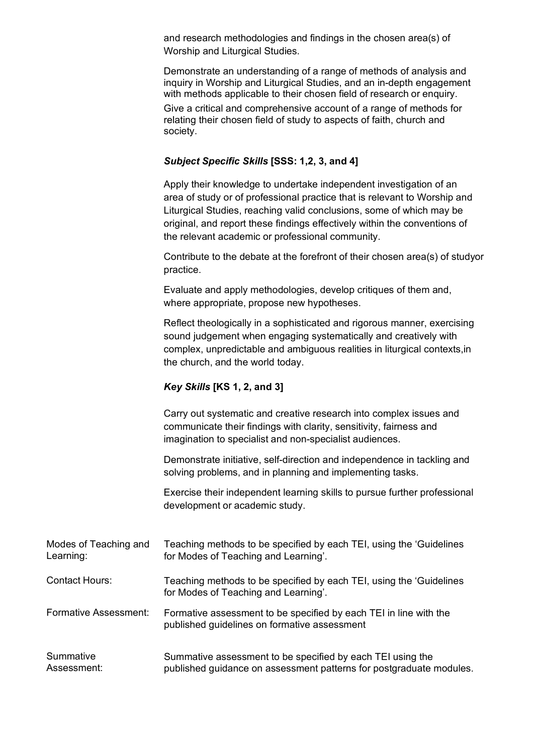and research methodologies and findings in the chosen area(s) of Worship and Liturgical Studies.

Demonstrate an understanding of a range of methods of analysis and inquiry in Worship and Liturgical Studies, and an in-depth engagement with methods applicable to their chosen field of research or enquiry.

Give a critical and comprehensive account of a range of methods for relating their chosen field of study to aspects of faith, church and society.

## *Subject Specific Skills* **[SSS: 1,2, 3, and 4]**

Apply their knowledge to undertake independent investigation of an area of study or of professional practice that is relevant to Worship and Liturgical Studies, reaching valid conclusions, some of which may be original, and report these findings effectively within the conventions of the relevant academic or professional community.

Contribute to the debate at the forefront of their chosen area(s) of studyor practice.

Evaluate and apply methodologies, develop critiques of them and, where appropriate, propose new hypotheses.

Reflect theologically in a sophisticated and rigorous manner, exercising sound judgement when engaging systematically and creatively with complex, unpredictable and ambiguous realities in liturgical contexts,in the church, and the world today.

## *Key Skills* **[KS 1, 2, and 3]**

Carry out systematic and creative research into complex issues and communicate their findings with clarity, sensitivity, fairness and imagination to specialist and non-specialist audiences.

Demonstrate initiative, self-direction and independence in tackling and solving problems, and in planning and implementing tasks.

Exercise their independent learning skills to pursue further professional development or academic study.

| Modes of Teaching and | Teaching methods to be specified by each TEI, using the 'Guidelines                                               |
|-----------------------|-------------------------------------------------------------------------------------------------------------------|
| Learning:             | for Modes of Teaching and Learning'.                                                                              |
| <b>Contact Hours:</b> | Teaching methods to be specified by each TEI, using the 'Guidelines<br>for Modes of Teaching and Learning'.       |
| Formative Assessment: | Formative assessment to be specified by each TEI in line with the<br>published guidelines on formative assessment |
| Summative             | Summative assessment to be specified by each TEI using the                                                        |
| Assessment:           | published guidance on assessment patterns for postgraduate modules.                                               |